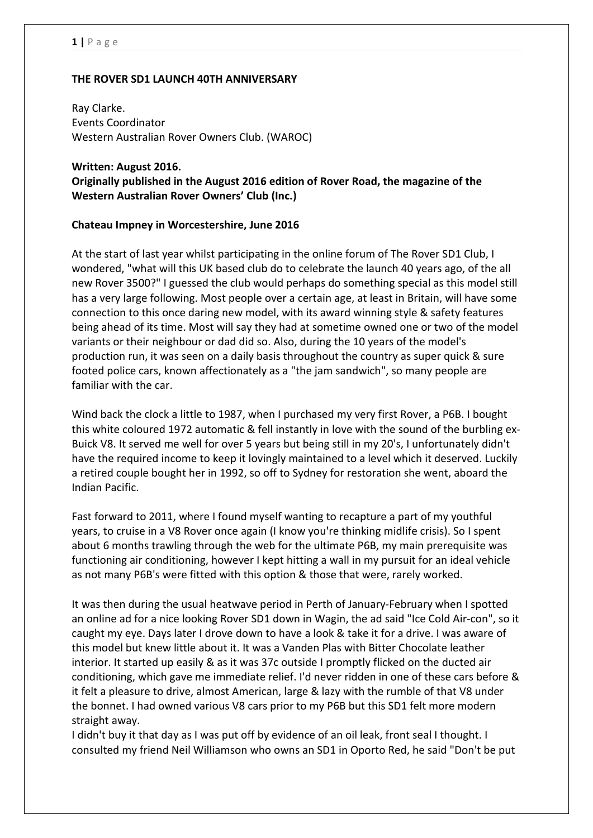## **THE ROVER SD1 LAUNCH 40TH ANNIVERSARY**

Ray Clarke. Events Coordinator Western Australian Rover Owners Club. (WAROC)

#### **Written: August 2016.**

**Originally published in the August 2016 edition of Rover Road, the magazine of the Western Australian Rover Owners' Club (Inc.)**

## **Chateau Impney in Worcestershire, June 2016**

At the start of last year whilst participating in the online forum of The Rover SD1 Club, I wondered, "what will this UK based club do to celebrate the launch 40 years ago, of the all new Rover 3500?" I guessed the club would perhaps do something special as this model still has a very large following. Most people over a certain age, at least in Britain, will have some connection to this once daring new model, with its award winning style & safety features being ahead of its time. Most will say they had at sometime owned one or two of the model variants or their neighbour or dad did so. Also, during the 10 years of the model's production run, it was seen on a daily basis throughout the country as super quick & sure footed police cars, known affectionately as a "the jam sandwich", so many people are familiar with the car.

Wind back the clock a little to 1987, when I purchased my very first Rover, a P6B. I bought this white coloured 1972 automatic & fell instantly in love with the sound of the burbling ex-Buick V8. It served me well for over 5 years but being still in my 20's, I unfortunately didn't have the required income to keep it lovingly maintained to a level which it deserved. Luckily a retired couple bought her in 1992, so off to Sydney for restoration she went, aboard the Indian Pacific.

Fast forward to 2011, where I found myself wanting to recapture a part of my youthful years, to cruise in a V8 Rover once again (I know you're thinking midlife crisis). So I spent about 6 months trawling through the web for the ultimate P6B, my main prerequisite was functioning air conditioning, however I kept hitting a wall in my pursuit for an ideal vehicle as not many P6B's were fitted with this option & those that were, rarely worked.

It was then during the usual heatwave period in Perth of January-February when I spotted an online ad for a nice looking Rover SD1 down in Wagin, the ad said "Ice Cold Air-con", so it caught my eye. Days later I drove down to have a look & take it for a drive. I was aware of this model but knew little about it. It was a Vanden Plas with Bitter Chocolate leather interior. It started up easily & as it was 37c outside I promptly flicked on the ducted air conditioning, which gave me immediate relief. I'd never ridden in one of these cars before & it felt a pleasure to drive, almost American, large & lazy with the rumble of that V8 under the bonnet. I had owned various V8 cars prior to my P6B but this SD1 felt more modern straight away.

I didn't buy it that day as I was put off by evidence of an oil leak, front seal I thought. I consulted my friend Neil Williamson who owns an SD1 in Oporto Red, he said "Don't be put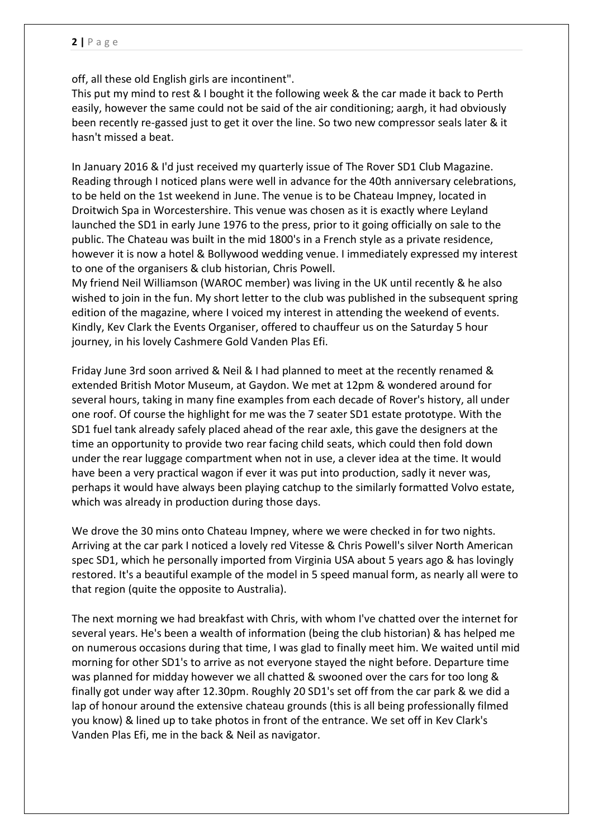off, all these old English girls are incontinent".

This put my mind to rest & I bought it the following week & the car made it back to Perth easily, however the same could not be said of the air conditioning; aargh, it had obviously been recently re-gassed just to get it over the line. So two new compressor seals later & it hasn't missed a beat.

In January 2016 & I'd just received my quarterly issue of The Rover SD1 Club Magazine. Reading through I noticed plans were well in advance for the 40th anniversary celebrations, to be held on the 1st weekend in June. The venue is to be Chateau Impney, located in Droitwich Spa in Worcestershire. This venue was chosen as it is exactly where Leyland launched the SD1 in early June 1976 to the press, prior to it going officially on sale to the public. The Chateau was built in the mid 1800's in a French style as a private residence, however it is now a hotel & Bollywood wedding venue. I immediately expressed my interest to one of the organisers & club historian, Chris Powell.

My friend Neil Williamson (WAROC member) was living in the UK until recently & he also wished to join in the fun. My short letter to the club was published in the subsequent spring edition of the magazine, where I voiced my interest in attending the weekend of events. Kindly, Kev Clark the Events Organiser, offered to chauffeur us on the Saturday 5 hour journey, in his lovely Cashmere Gold Vanden Plas Efi.

[Friday June 3rd](x-apple-data-detectors://2/) soon arrived & Neil & I had planned to meet at the recently renamed & extended British Motor Museum, at Gaydon. We met [at 12pm](x-apple-data-detectors://3/) & wondered around for several hours, taking in many fine examples from each decade of Rover's history, all under one roof. Of course the highlight for me was the 7 seater SD1 estate prototype. With the SD1 fuel tank already safely placed ahead of the rear axle, this gave the designers at the time an opportunity to provide two rear facing child seats, which could then fold down under the rear luggage compartment when not in use, a clever idea at the time. It would have been a very practical wagon if ever it was put into production, sadly it never was, perhaps it would have always been playing catchup to the similarly formatted Volvo estate, which was already in production during those days.

We drove the 30 mins onto Chateau Impney, where we were checked in for two nights. Arriving at the car park I noticed a lovely red Vitesse & Chris Powell's silver North American spec SD1, which he personally imported from Virginia USA about 5 years ago & has lovingly restored. It's a beautiful example of the model in 5 speed manual form, as nearly all were to that region (quite the opposite to Australia).

The next morning we had breakfast with Chris, with whom I've chatted over the internet for several years. He's been a wealth of information (being the club historian) & has helped me on numerous occasions during that time, I was glad to finally meet him. We waited until mid morning for other SD1's to arrive as not everyone stayed the night before. Departure time was planned for midday however we all chatted & swooned over the cars for too long & finally got under way after [12.30pm.](x-apple-data-detectors://4/) Roughly 20 SD1's set off from the car park & we did a lap of honour around the extensive chateau grounds (this is all being professionally filmed you know) & lined up to take photos in front of the entrance. We set off in Kev Clark's Vanden Plas Efi, me in the back & Neil as navigator.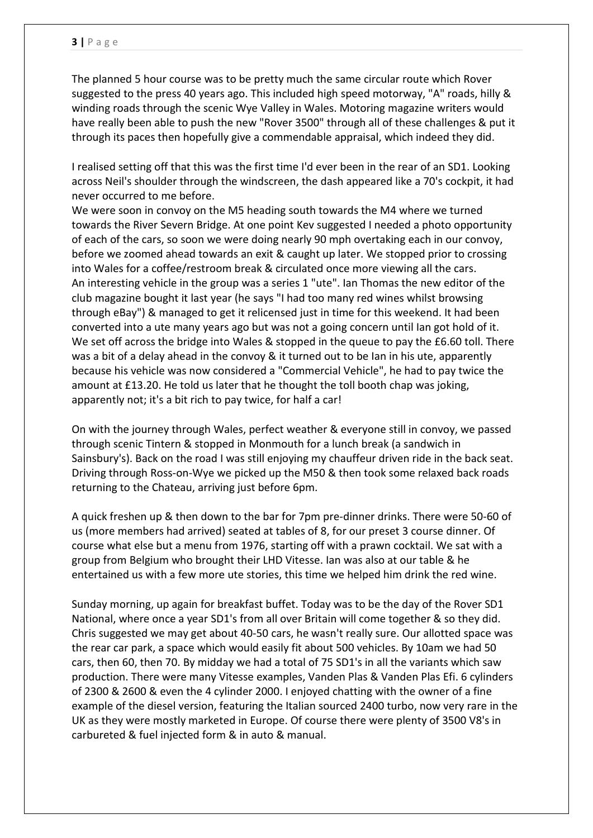The planned 5 hour course was to be pretty much the same circular route which Rover suggested to the press 40 years ago. This included high speed motorway, "A" roads, hilly & winding roads through the scenic Wye Valley in Wales. Motoring magazine writers would have really been able to push the new "Rover 3500" through all of these challenges & put it through its paces then hopefully give a commendable appraisal, which indeed they did.

I realised setting off that this was the first time I'd ever been in the rear of an SD1. Looking across Neil's shoulder through the windscreen, the dash appeared like a 70's cockpit, it had never occurred to me before.

We were soon in convoy on the M5 heading south towards the M4 where we turned towards the River Severn Bridge. At one point Kev suggested I needed a photo opportunity of each of the cars, so soon we were doing nearly 90 mph overtaking each in our convoy, before we zoomed ahead towards an exit & caught up later. We stopped prior to crossing into Wales for a coffee/restroom break & circulated once more viewing all the cars. An interesting vehicle in the group was a series 1 "ute". Ian Thomas the new editor of the club magazine bought it last year (he says "I had too many red wines whilst browsing through eBay") & managed to get it relicensed just in time for this weekend. It had been converted into a ute many years ago but was not a going concern until Ian got hold of it. We set off across the bridge into Wales & stopped in the queue to pay the £6.60 toll. There was a bit of a delay ahead in the convoy & it turned out to be Ian in his ute, apparently because his vehicle was now considered a "Commercial Vehicle", he had to pay twice the amount at £13.20. He told us later that he thought the toll booth chap was joking, apparently not; it's a bit rich to pay twice, for half a car!

On with the journey through Wales, perfect weather & everyone still in convoy, we passed through scenic Tintern & stopped in Monmouth for a lunch break (a sandwich in Sainsbury's). Back on the road I was still enjoying my chauffeur driven ride in the back seat. Driving through Ross-on-Wye we picked up the M50 & then took some relaxed back roads returning to the Chateau, arriving just before [6pm.](x-apple-data-detectors://7/)

A quick freshen up & then down to the bar for [7pm](x-apple-data-detectors://8/) pre-dinner drinks. There were 50-60 of us (more members had arrived) seated at tables of 8, for our preset 3 course dinner. Of course what else but a menu from 1976, starting off with a prawn cocktail. We sat with a group from Belgium who brought their LHD Vitesse. Ian was also at our table & he entertained us with a few more ute stories, this time we helped him drink the red wine.

Sunday morning, up again for breakfast buffet. Today was to be the day of the Rover SD1 National, where once a year SD1's from all over Britain will come together & so they did. Chris suggested we may get about 40-50 cars, he wasn't really sure. Our allotted space was the rear car park, a space which would easily fit about 500 vehicles. By [10am](x-apple-data-detectors://11/) we had 50 cars, then 60, then 70. By midday we had a total of 75 SD1's in all the variants which saw production. There were many Vitesse examples, Vanden Plas & Vanden Plas Efi. 6 cylinders of 2300 & 2600 & even the 4 cylinder 2000. I enjoyed chatting with the owner of a fine example of the diesel version, featuring the Italian sourced 2400 turbo, now very rare in the UK as they were mostly marketed in Europe. Of course there were plenty of 3500 V8's in carbureted & fuel injected form & in auto & manual.